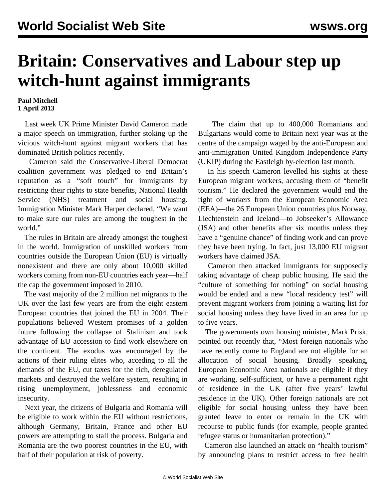## **Britain: Conservatives and Labour step up witch-hunt against immigrants**

## **Paul Mitchell 1 April 2013**

 Last week UK Prime Minister David Cameron made a major speech on immigration, further stoking up the vicious witch-hunt against migrant workers that has dominated British politics recently.

 Cameron said the Conservative-Liberal Democrat coalition government was pledged to end Britain's reputation as a "soft touch" for immigrants by restricting their rights to state benefits, National Health Service (NHS) treatment and social housing. Immigration Minister Mark Harper declared, "We want to make sure our rules are among the toughest in the world."

 The rules in Britain are already amongst the toughest in the world. Immigration of unskilled workers from countries outside the European Union (EU) is virtually nonexistent and there are only about 10,000 skilled workers coming from non-EU countries each year—half the cap the government imposed in 2010.

 The vast majority of the 2 million net migrants to the UK over the last few years are from the eight eastern European countries that joined the EU in 2004. Their populations believed Western promises of a golden future following the collapse of Stalinism and took advantage of EU accession to find work elsewhere on the continent. The exodus was encouraged by the actions of their ruling elites who, acceding to all the demands of the EU, cut taxes for the rich, deregulated markets and destroyed the welfare system, resulting in rising unemployment, joblessness and economic insecurity.

 Next year, the citizens of Bulgaria and Romania will be eligible to work within the EU without restrictions, although Germany, Britain, France and other EU powers are attempting to stall the process. Bulgaria and Romania are the two poorest countries in the EU, with half of their population at risk of poverty.

 The claim that up to 400,000 Romanians and Bulgarians would come to Britain next year was at the centre of the campaign waged by the anti-European and anti-immigration United Kingdom Independence Party (UKIP) during the Eastleigh by-election last month.

 In his speech Cameron levelled his sights at these European migrant workers, accusing them of "benefit tourism." He declared the government would end the right of workers from the European Economic Area (EEA)—the 26 European Union countries plus Norway, Liechtenstein and Iceland—to Jobseeker's Allowance (JSA) and other benefits after six months unless they have a "genuine chance" of finding work and can prove they have been trying. In fact, just 13,000 EU migrant workers have claimed JSA.

 Cameron then attacked immigrants for supposedly taking advantage of cheap public housing. He said the "culture of something for nothing" on social housing would be ended and a new "local residency test" will prevent migrant workers from joining a waiting list for social housing unless they have lived in an area for up to five years.

 The governments own housing minister, Mark Prisk, pointed out recently that, "Most foreign nationals who have recently come to England are not eligible for an allocation of social housing. Broadly speaking, European Economic Area nationals are eligible if they are working, self-sufficient, or have a permanent right of residence in the UK (after five years' lawful residence in the UK). Other foreign nationals are not eligible for social housing unless they have been granted leave to enter or remain in the UK with recourse to public funds (for example, people granted refugee status or humanitarian protection)."

 Cameron also launched an attack on "health tourism" by announcing plans to restrict access to free health